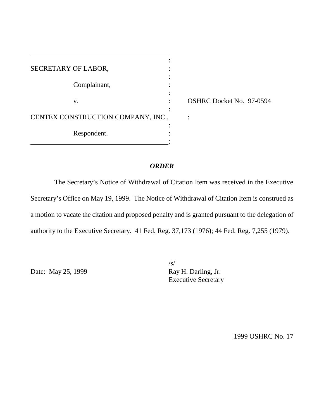| SECRETARY OF LABOR,                |  |
|------------------------------------|--|
|                                    |  |
| Complainant,                       |  |
|                                    |  |
| V.                                 |  |
|                                    |  |
| CENTEX CONSTRUCTION COMPANY, INC., |  |
|                                    |  |
| Respondent.                        |  |
|                                    |  |

OSHRC Docket No. 97-0594

# *ORDER*

The Secretary's Notice of Withdrawal of Citation Item was received in the Executive Secretary's Office on May 19, 1999. The Notice of Withdrawal of Citation Item is construed as a motion to vacate the citation and proposed penalty and is granted pursuant to the delegation of authority to the Executive Secretary. 41 Fed. Reg. 37,173 (1976); 44 Fed. Reg. 7,255 (1979).

Date: May 25, 1999

 $/s/$ <br>Ray H. Darling, Jr. Executive Secretary

1999 OSHRC No. 17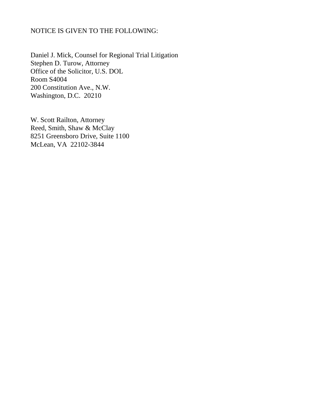# NOTICE IS GIVEN TO THE FOLLOWING:

Daniel J. Mick, Counsel for Regional Trial Litigation Stephen D. Turow, Attorney Office of the Solicitor, U.S. DOL Room S4004 200 Constitution Ave., N.W. Washington, D.C. 20210

W. Scott Railton, Attorney Reed, Smith, Shaw & McClay 8251 Greensboro Drive, Suite 1100 McLean, VA 22102-3844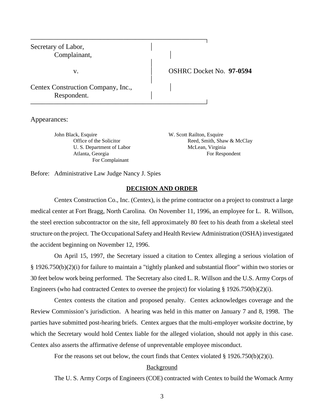| Secretary of Labor,<br>Complainant,               |                                 |
|---------------------------------------------------|---------------------------------|
| V.                                                | <b>OSHRC Docket No. 97-0594</b> |
| Centex Construction Company, Inc.,<br>Respondent. |                                 |

Appearances:

John Black, Esquire W. Scott Railton, Esquire U. S. Department of Labor McLean, Virginia For Complainant

Office of the Solicitor Reed, Smith, Shaw & McClay Atlanta, Georgia For Respondent

Before: Administrative Law Judge Nancy J. Spies

## **DECISION AND ORDER**

Centex Construction Co., Inc. (Centex), is the prime contractor on a project to construct a large medical center at Fort Bragg, North Carolina. On November 11, 1996, an employee for L. R. Willson, the steel erection subcontractor on the site, fell approximately 80 feet to his death from a skeletal steel structure on the project. The Occupational Safety and Health Review Administration (OSHA) investigated the accident beginning on November 12, 1996.

On April 15, 1997, the Secretary issued a citation to Centex alleging a serious violation of § 1926.750(b)(2)(i) for failure to maintain a "tightly planked and substantial floor" within two stories or 30 feet below work being performed. The Secretary also cited L. R. Willson and the U.S. Army Corps of Engineers (who had contracted Centex to oversee the project) for violating  $\S 1926.750(b)(2)(i)$ .

Centex contests the citation and proposed penalty. Centex acknowledges coverage and the Review Commission's jurisdiction. A hearing was held in this matter on January 7 and 8, 1998. The parties have submitted post-hearing briefs. Centex argues that the multi-employer worksite doctrine, by which the Secretary would hold Centex liable for the alleged violation, should not apply in this case. Centex also asserts the affirmative defense of unpreventable employee misconduct.

For the reasons set out below, the court finds that Centex violated § 1926.750(b)(2)(i).

# Background

The U. S. Army Corps of Engineers (COE) contracted with Centex to build the Womack Army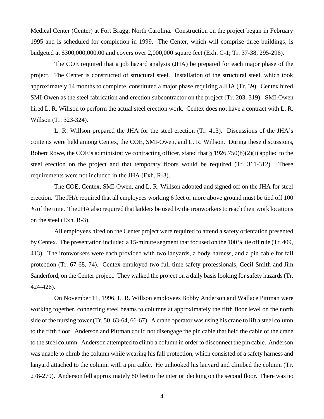Medical Center (Center) at Fort Bragg, North Carolina. Construction on the project began in February 1995 and is scheduled for completion in 1999. The Center, which will comprise three buildings, is budgeted at \$300,000,000.00 and covers over 2,000,000 square feet (Exh. C-1; Tr. 37-38, 295-296).

The COE required that a job hazard analysis (JHA) be prepared for each major phase of the project. The Center is constructed of structural steel. Installation of the structural steel, which took approximately 14 months to complete, constituted a major phase requiring a JHA (Tr. 39). Centex hired SMI-Owen as the steel fabrication and erection subcontractor on the project (Tr. 203, 319). SMI-Owen hired L. R. Willson to perform the actual steel erection work. Centex does not have a contract with L. R. Willson (Tr. 323-324).

L. R. Willson prepared the JHA for the steel erection (Tr. 413). Discussions of the JHA's contents were held among Centex, the COE, SMI-Owen, and L. R. Willson. During these discussions, Robert Rowe, the COE's administrative contracting officer, stated that § 1926.750(b)(2)(i) applied to the steel erection on the project and that temporary floors would be required (Tr. 311-312). These requirements were not included in the JHA (Exh. R-3).

The COE, Centex, SMI-Owen, and L. R. Willson adopted and signed off on the JHA for steel erection. The JHA required that all employees working 6 feet or more above ground must be tied off 100 % of the time. The JHA also required that ladders be used by the ironworkers to reach their work locations on the steel (Exh. R-3).

All employees hired on the Center project were required to attend a safety orientation presented by Centex. The presentation included a 15-minute segment that focused on the 100 % tie off rule (Tr. 409, 413). The ironworkers were each provided with two lanyards, a body harness, and a pin cable for fall protection (Tr. 67-68, 74). Centex employed two full-time safety professionals, Cecil Smith and Jim Sanderford, on the Center project. They walked the project on a daily basis looking for safety hazards (Tr. 424-426).

On November 11, 1996, L. R. Willson employees Bobby Anderson and Wallace Pittman were working together, connecting steel beams to columns at approximately the fifth floor level on the north side of the nursing tower (Tr. 50, 63-64, 66-67). A crane operator was using his crane to lift a steel column to the fifth floor. Anderson and Pittman could not disengage the pin cable that held the cable of the crane to the steel column. Anderson attempted to climb a column in order to disconnect the pin cable. Anderson was unable to climb the column while wearing his fall protection, which consisted of a safety harness and lanyard attached to the column with a pin cable. He unhooked his lanyard and climbed the column (Tr. 278-279). Anderson fell approximately 80 feet to the interior decking on the second floor. There was no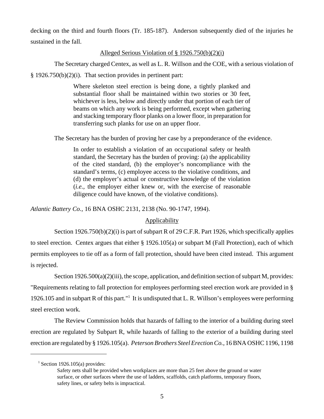decking on the third and fourth floors (Tr. 185-187). Anderson subsequently died of the injuries he sustained in the fall.

## Alleged Serious Violation of § 1926.750(b)(2)(i)

The Secretary charged Centex, as well as L. R. Willson and the COE, with a serious violation of

 $§ 1926.750(b)(2)(i)$ . That section provides in pertinent part:

Where skeleton steel erection is being done, a tightly planked and substantial floor shall be maintained within two stories or 30 feet, whichever is less, below and directly under that portion of each tier of beams on which any work is being performed, except when gathering and stacking temporary floor planks on a lower floor, in preparation for transferring such planks for use on an upper floor.

The Secretary has the burden of proving her case by a preponderance of the evidence.

In order to establish a violation of an occupational safety or health standard, the Secretary has the burden of proving: (a) the applicability of the cited standard, (b) the employer's noncompliance with the standard's terms, (c) employee access to the violative conditions, and (d) the employer's actual or constructive knowledge of the violation (*i.e.,* the employer either knew or, with the exercise of reasonable diligence could have known, of the violative conditions).

*Atlantic Battery Co.,* 16 BNA OSHC 2131, 2138 (No. 90-1747, 1994).

# **Applicability**

Section 1926.750(b)(2)(i) is part of subpart R of 29 C.F.R. Part 1926, which specifically applies to steel erection. Centex argues that either § 1926.105(a) or subpart M (Fall Protection), each of which permits employees to tie off as a form of fall protection, should have been cited instead. This argument is rejected.

Section 1926.500(a)(2)(iii), the scope, application, and definition section of subpart M, provides: "Requirements relating to fall protection for employees performing steel erection work are provided in § 1926.105 and in subpart R of this part."<sup>1</sup> It is undisputed that L. R. Willson's employees were performing steel erection work.

The Review Commission holds that hazards of falling to the interior of a building during steel erection are regulated by Subpart R, while hazards of falling to the exterior of a building during steel erection are regulated by § 1926.105(a). *Peterson Brothers Steel Erection Co.,* 16 BNA OSHC 1196, 1198

 $1$  Section 1926.105(a) provides:

Safety nets shall be provided when workplaces are more than 25 feet above the ground or water surface, or other surfaces where the use of ladders, scaffolds, catch platforms, temporary floors, safety lines, or safety belts is impractical.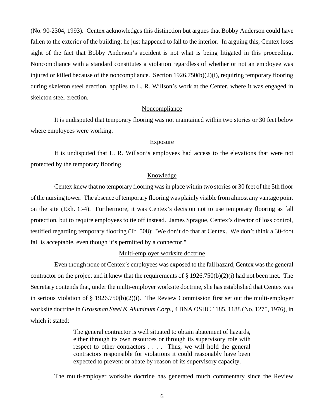(No. 90-2304, 1993). Centex acknowledges this distinction but argues that Bobby Anderson could have fallen to the exterior of the building; he just happened to fall to the interior. In arguing this, Centex loses sight of the fact that Bobby Anderson's accident is not what is being litigated in this proceeding. Noncompliance with a standard constitutes a violation regardless of whether or not an employee was injured or killed because of the noncompliance. Section 1926.750(b)(2)(i), requiring temporary flooring during skeleton steel erection, applies to L. R. Willson's work at the Center, where it was engaged in skeleton steel erection.

#### Noncompliance

It is undisputed that temporary flooring was not maintained within two stories or 30 feet below where employees were working.

#### Exposure

It is undisputed that L. R. Willson's employees had access to the elevations that were not protected by the temporary flooring.

#### Knowledge

Centex knew that no temporary flooring was in place within two stories or 30 feet of the 5th floor of the nursing tower. The absence of temporary flooring was plainly visible from almost any vantage point on the site (Exh. C-4). Furthermore, it was Centex's decision not to use temporary flooring as fall protection, but to require employees to tie off instead. James Sprague, Centex's director of loss control, testified regarding temporary flooring (Tr. 508): "We don't do that at Centex. We don't think a 30-foot fall is acceptable, even though it's permitted by a connector."

### Multi-employer worksite doctrine

Even though none of Centex's employees was exposed to the fall hazard, Centex was the general contractor on the project and it knew that the requirements of  $\S 1926.750(b)(2)(i)$  had not been met. The Secretary contends that, under the multi-employer worksite doctrine, she has established that Centex was in serious violation of § 1926.750(b)(2)(i). The Review Commission first set out the multi-employer worksite doctrine in *Grossman Steel & Aluminum Corp.,* 4 BNA OSHC 1185, 1188 (No. 1275, 1976), in which it stated:

> The general contractor is well situated to obtain abatement of hazards, either through its own resources or through its supervisory role with respect to other contractors . . . . Thus, we will hold the general contractors responsible for violations it could reasonably have been expected to prevent or abate by reason of its supervisory capacity.

The multi-employer worksite doctrine has generated much commentary since the Review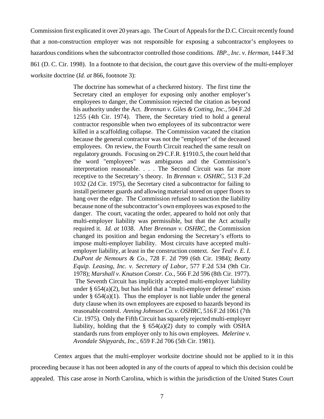Commission first explicated it over 20 years ago. The Court of Appeals for the D.C. Circuit recently found that a non-construction employer was not responsible for exposing a subcontractor's employees to hazardous conditions when the subcontractor controlled those conditions. *IBP., Inc. v. Herman,* 144 F.3d 861 (D. C. Cir. 1998). In a footnote to that decision, the court gave this overview of the multi-employer worksite doctrine (*Id. at* 866, footnote 3):

> The doctrine has somewhat of a checkered history. The first time the Secretary cited an employer for exposing only another employer's employees to danger, the Commission rejected the citation as beyond his authority under the Act. *Brennan v. Giles & Cotting, Inc.,* 504 F.2d 1255 (4th Cir. 1974). There, the Secretary tried to hold a general contractor responsible when two employees of its subcontractor were killed in a scaffolding collapse. The Commission vacated the citation because the general contractor was not the "employer" of the deceased employees. On review, the Fourth Circuit reached the same result on regulatory grounds. Focusing on 29 C.F.R. §1910.5, the court held that the word "employees" was ambiguous and the Commission's interpretation reasonable. . . . The Second Circuit was far more receptive to the Secretary's theory. In *Brennan v. OSHRC,* 513 F.2d 1032 (2d Cir. 1975), the Secretary cited a subcontractor for failing to install perimeter guards and allowing material stored on upper floors to hang over the edge. The Commission refused to sanction the liability because none of the subcontractor's own employees was exposed to the danger. The court, vacating the order, appeared to hold not only that multi-employer liability was permissible, but that the Act actually required it. *Id. at* 1038. After *Brennan v. OSHRC*, the Commission changed its position and began endorsing the Secretary's efforts to impose multi-employer liability. Most circuits have accepted multiemployer liability, at least in the construction context. *See Teal v. E. I. DuPont de Nemours & Co.,* 728 F. 2d 799 (6th Cir. 1984); *Beatty Equip. Leasing, Inc. v. Secretary of Labor,* 577 F.2d 534 (9th Cir. 1978); *Marshall v. Knutson Constr. Co.,* 566 F.2d 596 (8th Cir. 1977). The Seventh Circuit has implicitly accepted multi-employer liability under  $\S 654(a)(2)$ , but has held that a "multi-employer defense" exists under  $\S$  654(a)(1). Thus the employer is not liable under the general duty clause when its own employees are exposed to hazards beyond its reasonable control. *Anning Johnson Co. v. OSHRC,* 516 F.2d 1061 (7th Cir. 1975). Only the Fifth Circuit has squarely rejected multi-employer liability, holding that the  $\S$  654(a)(2) duty to comply with OSHA standards runs from employer only to his own employees. *Melerine v. Avondale Shipyards, Inc.,* 659 F.2d 706 (5th Cir. 1981).

Centex argues that the multi-employer worksite doctrine should not be applied to it in this proceeding because it has not been adopted in any of the courts of appeal to which this decision could be appealed. This case arose in North Carolina, which is within the jurisdiction of the United States Court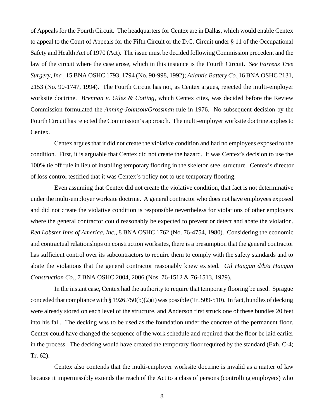of Appeals for the Fourth Circuit. The headquarters for Centex are in Dallas, which would enable Centex to appeal to the Court of Appeals for the Fifth Circuit or the D.C. Circuit under § 11 of the Occupational Safety and Health Act of 1970 (Act). The issue must be decided following Commission precedent and the law of the circuit where the case arose, which in this instance is the Fourth Circuit. *See Farrens Tree Surgery, Inc.,* 15 BNA OSHC 1793, 1794 (No. 90-998, 1992); *Atlantic Battery Co.,*16 BNA OSHC 2131, 2153 (No. 90-1747, 1994). The Fourth Circuit has not, as Centex argues, rejected the multi-employer worksite doctrine. *Brennan v. Giles & Cotting*, which Centex cites, was decided before the Review Commission formulated the *Anning-Johnson/Grossman* rule in 1976. No subsequent decision by the Fourth Circuit has rejected the Commission's approach. The multi-employer worksite doctrine applies to Centex.

Centex argues that it did not create the violative condition and had no employees exposed to the condition. First, it is arguable that Centex did not create the hazard. It was Centex's decision to use the 100% tie off rule in lieu of installing temporary flooring in the skeleton steel structure. Centex's director of loss control testified that it was Centex's policy not to use temporary flooring.

Even assuming that Centex did not create the violative condition, that fact is not determinative under the multi-employer worksite doctrine. A general contractor who does not have employees exposed and did not create the violative condition is responsible nevertheless for violations of other employers where the general contractor could reasonably be expected to prevent or detect and abate the violation. *Red Lobster Inns of America, Inc.,* 8 BNA OSHC 1762 (No. 76-4754, 1980). Considering the economic and contractual relationships on construction worksites, there is a presumption that the general contractor has sufficient control over its subcontractors to require them to comply with the safety standards and to abate the violations that the general contractor reasonably knew existed. *Gil Haugan d/b/a Haugan Construction Co*., 7 BNA OSHC 2004, 2006 (Nos. 76-1512 & 76-1513, 1979).

In the instant case, Centex had the authority to require that temporary flooring be used. Sprague conceded that compliance with § 1926.750(b)(2)(i) was possible (Tr. 509-510). In fact, bundles of decking were already stored on each level of the structure, and Anderson first struck one of these bundles 20 feet into his fall. The decking was to be used as the foundation under the concrete of the permanent floor. Centex could have changed the sequence of the work schedule and required that the floor be laid earlier in the process. The decking would have created the temporary floor required by the standard (Exh. C-4; Tr. 62).

Centex also contends that the multi-employer worksite doctrine is invalid as a matter of law because it impermissibly extends the reach of the Act to a class of persons (controlling employers) who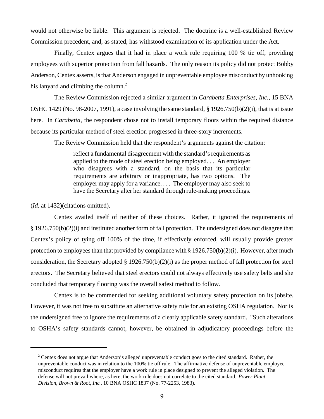would not otherwise be liable. This argument is rejected. The doctrine is a well-established Review Commission precedent, and, as stated, has withstood examination of its application under the Act.

Finally, Centex argues that it had in place a work rule requiring 100 % tie off, providing employees with superior protection from fall hazards. The only reason its policy did not protect Bobby Anderson, Centex asserts, is that Anderson engaged in unpreventable employee misconduct by unhooking his lanyard and climbing the column. $<sup>2</sup>$ </sup>

The Review Commission rejected a similar argument in *Carabetta Enterprises, Inc.*, 15 BNA OSHC 1429 (No. 98-2007, 1991), a case involving the same standard,  $\S$  1926.750(b)(2)(i), that is at issue here. In *Carabetta*, the respondent chose not to install temporary floors within the required distance because its particular method of steel erection progressed in three-story increments.

The Review Commission held that the respondent's arguments against the citation:

reflect a fundamental disagreement with the standard's requirements as applied to the mode of steel erection being employed. . . An employer who disagrees with a standard, on the basis that its particular requirements are arbitrary or inappropriate, has two options. The employer may apply for a variance. . . . The employer may also seek to have the Secretary alter her standard through rule-making proceedings.

(*Id.* at 1432) (citations omitted).

Centex availed itself of neither of these choices. Rather, it ignored the requirements of § 1926.750(b)(2)(i) and instituted another form of fall protection. The undersigned does not disagree that Centex's policy of tying off 100% of the time, if effectively enforced, will usually provide greater protection to employees than that provided by compliance with § 1926.750(b)(2)(i). However, after much consideration, the Secretary adopted § 1926.750(b)(2)(i) as the proper method of fall protection for steel erectors. The Secretary believed that steel erectors could not always effectively use safety belts and she concluded that temporary flooring was the overall safest method to follow.

Centex is to be commended for seeking additional voluntary safety protection on its jobsite. However, it was not free to substitute an alternative safety rule for an existing OSHA regulation. Nor is the undersigned free to ignore the requirements of a clearly applicable safety standard. "Such alterations to OSHA's safety standards cannot, however, be obtained in adjudicatory proceedings before the

 $2^2$  Centex does not argue that Anderson's alleged unpreventable conduct goes to the cited standard. Rather, the unpreventable conduct was in relation to the 100% tie off rule. The affirmative defense of unpreventable employee misconduct requires that the employer have a work rule in place designed to prevent the alleged violation. The defense will not prevail where, as here, the work rule does not correlate to the cited standard. *Power Plant Division, Brown & Root, Inc*., 10 BNA OSHC 1837 (No. 77-2253, 1983).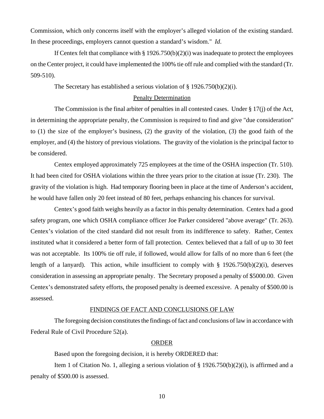Commission, which only concerns itself with the employer's alleged violation of the existing standard. In these proceedings, employers cannot question a standard's wisdom." *Id*.

If Centex felt that compliance with § 1926.750(b)(2)(i) was inadequate to protect the employees on the Center project, it could have implemented the 100% tie off rule and complied with the standard (Tr. 509-510).

The Secretary has established a serious violation of § 1926.750(b)(2)(i).

### Penalty Determination

The Commission is the final arbiter of penalties in all contested cases. Under § 17(j) of the Act, in determining the appropriate penalty, the Commission is required to find and give "due consideration" to (1) the size of the employer's business, (2) the gravity of the violation, (3) the good faith of the employer, and (4) the history of previous violations. The gravity of the violation is the principal factor to be considered.

Centex employed approximately 725 employees at the time of the OSHA inspection (Tr. 510). It had been cited for OSHA violations within the three years prior to the citation at issue (Tr. 230). The gravity of the violation is high. Had temporary flooring been in place at the time of Anderson's accident, he would have fallen only 20 feet instead of 80 feet, perhaps enhancing his chances for survival.

Centex's good faith weighs heavily as a factor in this penalty determination. Centex had a good safety program, one which OSHA compliance officer Joe Parker considered "above average" (Tr. 263). Centex's violation of the cited standard did not result from its indifference to safety. Rather, Centex instituted what it considered a better form of fall protection. Centex believed that a fall of up to 30 feet was not acceptable. Its 100% tie off rule, if followed, would allow for falls of no more than 6 feet (the length of a lanyard). This action, while insufficient to comply with  $\S$  1926.750(b)(2)(i), deserves consideration in assessing an appropriate penalty. The Secretary proposed a penalty of \$5000.00. Given Centex's demonstrated safety efforts, the proposed penalty is deemed excessive. A penalty of \$500.00 is assessed.

## FINDINGS OF FACT AND CONCLUSIONS OF LAW

The foregoing decision constitutes the findings of fact and conclusions of law in accordance with Federal Rule of Civil Procedure 52(a).

#### ORDER

Based upon the foregoing decision, it is hereby ORDERED that:

Item 1 of Citation No. 1, alleging a serious violation of § 1926.750(b)(2)(i), is affirmed and a penalty of \$500.00 is assessed.